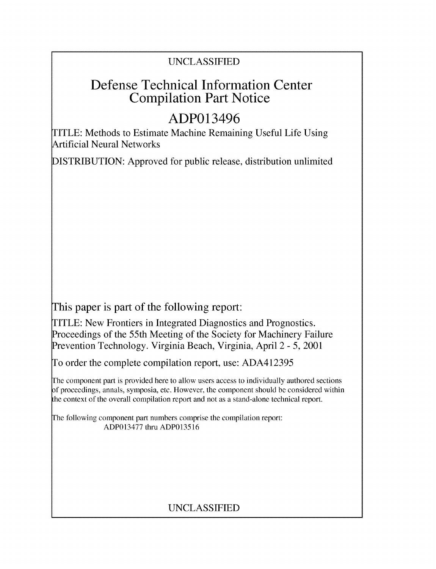### UNCLASSIFIED

## Defense Technical Information Center Compilation Part Notice

# ADP013496

TITLE: Methods to Estimate Machine Remaining Useful Life Using Artificial Neural Networks

DISTRIBUTION: Approved for public release, distribution unlimited

This paper is part of the following report:

TITLE: New Frontiers in Integrated Diagnostics and Prognostics. Proceedings of the 55th Meeting of the Society for Machinery Failure Prevention Technology. Virginia Beach, Virginia, April 2 - 5, 2001

To order the complete compilation report, use: ADA412395

The component part is provided here to allow users access to individually authored sections **)f** proceedings, annals, symposia, etc. However, the component should be considered within [he context of the overall compilation report and not as a stand-alone technical report.

The following component part numbers comprise the compilation report: ADP013477 thru ADP013516

### UNCLASSIFIED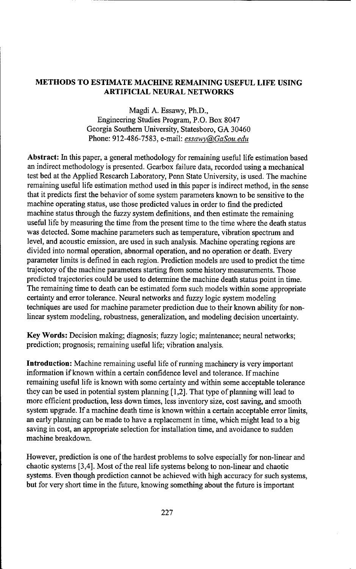#### **METHODS** TO **ESTIMATE MACHINE REMAINING USEFUL** LIFE **USING** ARTIFICIAL **NEURAL** NETWORKS

Magdi A. Essawy, Ph.D., Engineering Studies Program, P.O. Box 8047 Georgia Southern University, Statesboro, GA 30460 Phone: 912-486-7583, e-mail: *essawv@(GaSou.edu*

Abstract: In this paper, a general methodology for remaining useful life estimation based an indirect methodology is presented. Gearbox failure data, recorded using a mechanical test bed at the Applied Research Laboratory, Penn State University, is used. The machine remaining useful life estimation method used in this paper is indirect method, in the sense that it predicts first the behavior of some system parameters known to be sensitive to the machine operating status, use those predicted values in order to find the predicted machine status through the fuzzy system definitions, and then estimate the remaining useful life by measuring the time from the present time to the time where the death status was detected. Some machine parameters such as temperature, vibration spectrum and level, and acoustic emission, are used in such analysis. Machine operating regions are divided into normal operation, abnormal operation, and no operation or death. Every parameter limits is defined in each region. Prediction models are used to predict the time trajectory of the machine parameters starting from some history measurements. Those predicted trajectories could be used to determine the machine death status point in time. The remaining time to death can be estimated form such models within some appropriate certainty and error tolerance. Neural networks and fuzzy logic system modeling techniques are used for machine parameter prediction due to their known ability for nonlinear system modeling, robustness, generalization, and modeling decision uncertainty.

Key Words: Decision making; diagnosis; fuzzy logic; maintenance; neural networks; prediction; prognosis; remaining useful life; vibration analysis.

Introduction: Machine remaining useful life of running machinery is very important information if known within a certain confidence level and tolerance. If machine remaining useful life is known with some certainty and within some acceptable tolerance they can be used in potential system planning [1,2]. That type of planning will lead to more efficient production, less down times, less inventory size, cost saving, and smooth system upgrade. **If** a machine death time is known within a certain acceptable error limits, an early planning can be made to have a replacement in time, which might lead to a big saving in cost, an appropriate selection for installation time, and avoidance to sudden machine breakdown.

However, prediction is one of the hardest problems to solve especially for non-linear and chaotic systems [3,4]. Most of the real life systems belong to non-linear and chaotic systems. Even though prediction cannot be achieved with high accuracy for such systems, but for very short time in the future, knowing something about the future is important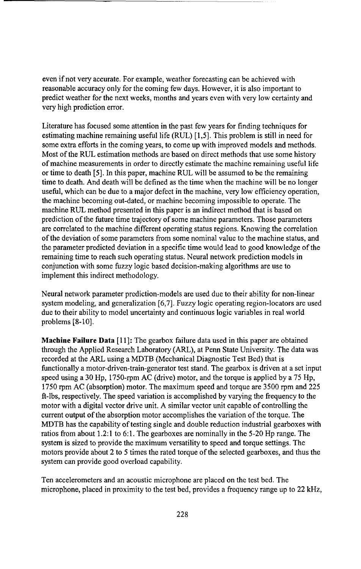even if not very accurate. For example, weather forecasting can be achieved with reasonable accuracy only for the coming few days. However, it is also important to predict weather for the next weeks, months and years even with very low certainty and very high prediction error.

Literature has focused some attention in the past few years for finding techniques for estimating machine remaining useful life (RUL) [1,5]. This problem is still in need for some extra efforts in the coming years, to come up with improved models and methods. Most of the RUL estimation methods are based on direct methods that use some history of machine measurements in order to directly estimate the machine remaining useful life or time to death [5]. In this paper, machine RUL will be assumed to be the remaining time to death. And death will be defined as the time when the machine will be no longer useful, which can be due to a major defect in the machine, very low efficiency operation, the machine becoming out-dated, or machine becoming impossible to operate. The machine RUL method presented in this paper is an indirect method that is based on prediction of the future time trajectory of some machine parameters. Those parameters are correlated to the machine different operating status regions. Knowing the correlation of the deviation of some parameters from some nominal value to the machine status, and the parameter predicted deviation in a specific time would lead to good knowledge of the remaining time to reach such operating status. Neural network prediction models in conjunction with some fuzzy logic based decision-making algorithms are use to implement this indirect methodology.

Neural network parameter prediction-models are used due to their ability for non-linear system modeling, and generalization [6,7]. Fuzzy logic operating region-locators are used due to their ability to model uncertainty and continuous logic variables in real world problems [8-10].

Machine Failure Data [11]: The gearbox failure data used in this paper are obtained through the Applied Research Laboratory (ARL), at Penn State University. The data was recorded at the ARL using a MDTB (Mechanical Diagnostic Test Bed) that is functionally a motor-driven-train-generator test stand. The gearbox is driven at a set input speed using a 30 Hp, 1750-rpm AC (drive) motor, and the torque is applied by a 75 Hp, 1750 rpm AC (absorption) motor. The maximum speed and torque are 3500 rpm and 225 ft-lbs, respectively. The speed variation is accomplished by varying the frequency to the motor with a digital vector drive unit. A similar vector unit capable of controlling the current output of the absorption motor accomplishes the variation of the torque. The MDTB has the capability of testing single and double reduction industrial gearboxes with ratios from about 1.2:1 to 6:1. The gearboxes are nominally in the 5-20 Hp range. The system is sized to provide the maximum versatility to speed and torque settings. The motors provide about 2 to 5 times the rated torque of the selected gearboxes, and thus the system can provide good overload capability.

Ten accelerometers and an acoustic microphone are placed on the test bed. The microphone, placed in proximity to the test bed, provides a frequency range up to 22 kHz,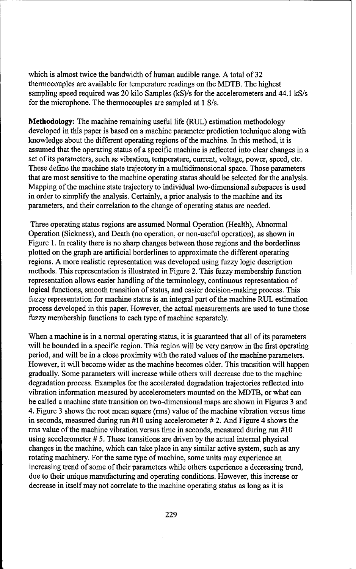which is almost twice the bandwidth of human audible range. A total of 32 thermocouples are available for temperature readings on the MDTB. The highest sampling speed required was 20 kilo Samples (kS)/s for the accelerometers and 44.1 kS/s for the microphone. The thermocouples are sampled at 1 S/s.

Methodology: The machine remaining useful life (RUL) estimation methodology developed in this paper is based on a machine parameter prediction technique along with knowledge about the different operating regions of the machine. In this method, it is assumed that the operating status of a specific machine is reflected into clear changes in a set of its parameters, such as vibration, temperature, current, voltage, power, speed, etc. These define the machine state trajectory in a multidimensional space. Those parameters that are most sensitive to the machine operating status should be selected for the analysis. Mapping of the machine state trajectory to individual two-dimensional subspaces is used in order to simplify the analysis. Certainly, a prior analysis to the machine and its parameters, and their correlation to the change of operating status are needed.

Three operating status regions are assumed Normal Operation (Health), Abnormal Operation (Sickness), and Death (no operation, or non-useful operation), as shown in Figure 1. In reality there is no sharp changes between those regions and the borderlines plotted on the graph are artificial borderlines to approximate the different operating regions. A more realistic representation was developed using fuzzy logic description methods. This representation is illustrated in Figure 2. This fuzzy membership function representation allows easier handling of the terminology, continuous representation of logical functions, smooth transition of status, and easier decision-making process. This fuzzy representation for machine status is an integral part of the machine RUL estimation process developed in this paper. However, the actual measurements are used to tune those fuzzy membership functions to each type of machine separately.

When a machine is in a normal operating status, it is guaranteed that all of its parameters will be bounded in a specific region. This region will be very narrow in the first operating period, and will be in a close proximity with the rated values of the machine parameters. However, it will become wider as the machine becomes older. This transition will happen gradually. Some parameters will increase while others will decrease due to the machine degradation process. Examples for the accelerated degradation trajectories reflected into vibration information measured by accelerometers mounted on the MDTB, or what can be called a machine state transition on two-dimensional maps are shown in Figures 3 and 4. Figure 3 shows the root mean square (rms) value of the machine vibration versus time in seconds, measured during run #10 using accelerometer # 2. And Figure 4 shows the rms value of the machine vibration versus time in seconds, measured during run #10 using accelerometer # 5. These transitions are driven by the actual internal physical changes in the machine, which can take place in any similar active system, such as any rotating machinery. For the same type of machine, some units may experience an increasing trend of some of their parameters while others experience a decreasing trend, due to their unique manufacturing and operating conditions. However, this increase or decrease in itself may not correlate to the machine operating status as long as it is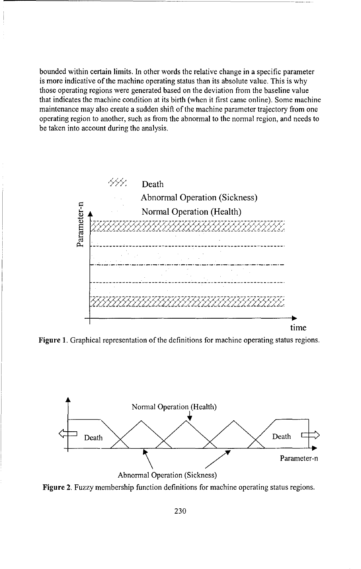bounded within certain limits. In other words the relative change in a specific parameter is more indicative of the machine operating status than its absolute value. This is why those operating regions were generated based on the deviation from the baseline value that indicates the machine condition at its birth (when it first came online). Some machine maintenance may also create a sudden shift of the machine parameter trajectory from one operating region to another, such as from the abnormal to the normal region, and needs to be taken into account during the analysis.



**Figure** 1. Graphical representation of the definitions for machine operating status regions.



**Figure** 2. Fuzzy membership function definitions for machine operating status regions.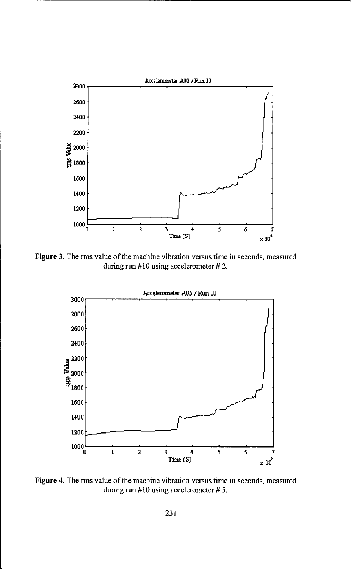

Figure 3. The rms value of the machine vibration versus time in seconds, measured during run #10 using accelerometer # 2.



Figure 4. The rms value of the machine vibration versus time in seconds, measured during run #10 using accelerometer # *5.*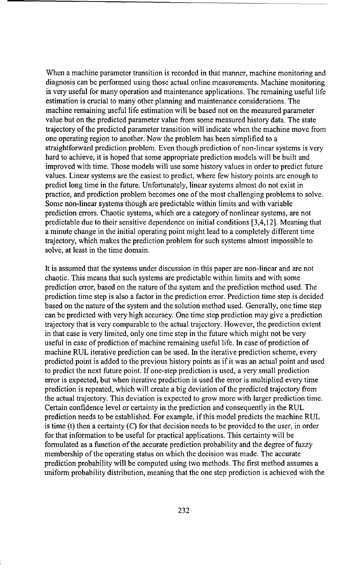When a machine parameter transition is recorded in that manner, machine monitoring and diagnosis can be performed using those actual online measurements. Machine monitoring is very useful for many operation and maintenance applications. The remaining useful life estimation is crucial to many other planning and maintenance considerations. The machine remaining useful life estimation will be based not on the measured parameter value but on the predicted parameter value from some measured history data. The state trajectory of the predicted parameter transition will indicate when the machine move from one operating region to another. Now the problem has been simplified to a straightforward prediction problem. Even though prediction of non-linear systems is very hard to achieve, it is hoped that some appropriate prediction models will be built and improved with time. Those models will use some history values in order to predict future values. Linear systems are the easiest to predict, where few history points are enough to predict long time in the future. Unfortunately, linear systems almost do not exist in practice, and prediction problem becomes one of the most challenging problems to solve. Some non-linear systems though are predictable within limits and with variable prediction errors. Chaotic systems, which are a category of nonlinear systems, are not predictable due to their sensitive dependence on initial conditions [3,4,12]. Meaning that a minute change in the initial operating point might lead to a completely different time trajectory, which makes the prediction problem for such systems almost impossible to solve, at least in the time domain.

It is assumed that the systems under discussion in this paper are non-linear and are not chaotic. This means that such systems are predictable within limits and with some prediction error, based on the nature of the system and the prediction method used. The prediction time step is also a factor in the prediction error. Prediction time step is decided based on the nature of the system and the solution method used. Generally, one time step can be predicted with very high accuracy. One time step prediction may give a prediction trajectory that is very comparable to the actual trajectory. However, the prediction extent in that case is very limited, only one time step in the future which might not be very useful in case of prediction of machine remaining useful life. In case of prediction of machine RUL iterative prediction can be used. In the iterative prediction scheme, every predicted point is added to the previous history points as if it was an actual point and used to predict the next future point. If one-step prediction is used, a very small prediction error is expected, but when iterative prediction is used the error is multiplied every time prediction is repeated, which will create a big deviation of the predicted trajectory from the actual trajectory. This deviation is expected to grow more with larger prediction time. Certain confidence level or certainty in the prediction and consequently in the RUL prediction needs to be established. For example, if this model predicts the machine RUL is time (t) then a certainty  $(C)$  for that decision needs to be provided to the user, in order for that information to be useful for practical applications. This certainty will be formulated as a function of the accurate prediction probability and the degree of fuzzy membership of the operating status on which the decision was made. The accurate prediction probability will be computed using two methods. The first method assumes a uniform probability distribution, meaning that the one step prediction is achieved with the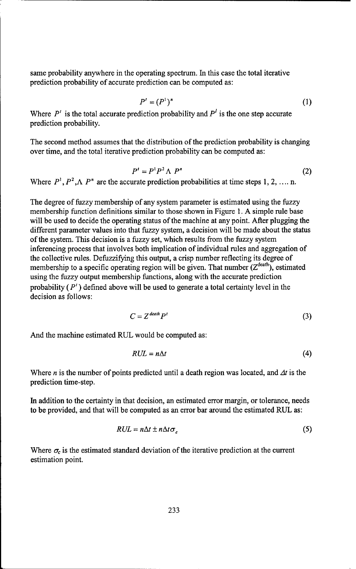same probability anywhere in the operating spectrum. In this case the total iterative prediction probability of accurate prediction can be computed as:

$$
P'=(P^1)^n\tag{1}
$$

Where  $P'$  is the total accurate prediction probability and  $P'$  is the one step accurate prediction probability.

The second method assumes that the distribution of the prediction probability is changing over time, and the total iterative prediction probability can be computed as:

$$
P' = P^1 P^2 \wedge P^n \tag{2}
$$

Where  $P^1, P^2, \Lambda, P^n$  are the accurate prediction probabilities at time steps 1, 2, .... n.

The degree of fuzzy membership of any system parameter is estimated using the fuzzy membership function definitions similar to those shown in Figure 1. A simple rule base will be used to decide the operating status of the machine at any point. After plugging the different parameter values into that fuzzy system, a decision will be made about the status of the system. This decision is a fuzzy set, which results from the fuzzy system inferencing process that involves both implication of individual rules and aggregation of the collective rules. Defuzzifying this output, a crisp number reflecting its degree of membership to a specific operating region will be given. That number (Zdeath), estimated using the fuzzy output membership functions, along with the accurate prediction probability  $(P')$  defined above will be used to generate a total certainty level in the decision as follows:

$$
C = Z^{\text{death}} P^t \tag{3}
$$

And the machine estimated RUL would be computed as:

$$
RUL = n\Delta t \tag{4}
$$

Where *n* is the number of points predicted until a death region was located, and  $\Delta t$  is the prediction time-step.

In addition to the certainty in that decision, an estimated error margin, or tolerance, needs to be provided, and that will be computed as an error bar around the estimated RUL as:

$$
RUL = n\Delta t \pm n\Delta t \sigma_c \tag{5}
$$

Where  $\sigma_c$  is the estimated standard deviation of the iterative prediction at the current estimation point.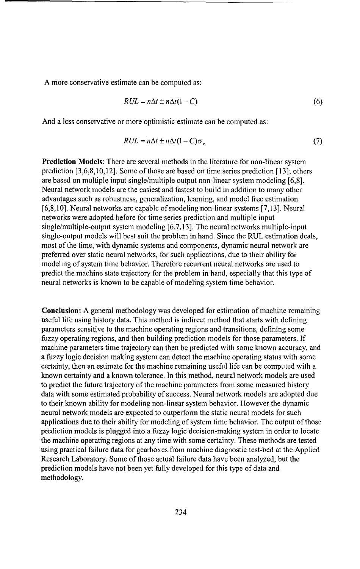A more conservative estimate can be computed as:

$$
RUL = n\Delta t \pm n\Delta t (1 - C) \tag{6}
$$

And a less conservative or more optimistic estimate can be computed as:

$$
RUL = n\Delta t \pm n\Delta t (1 - C)\sigma_c \tag{7}
$$

Prediction Models: There are several methods in the literature for non-linear system prediction [3,6,8,10,12]. Some of those are based on time series prediction [13]; others are based on multiple input single/multiple output non-linear system modeling [6,8]. Neural network models are the easiest and fastest to build in addition to many other advantages such as robustness, generalization, learning, and model free estimation [6,8,10]. Neural networks are capable of modeling non-linear systems [7,13]. Neural networks were adopted before for time series prediction and multiple input single/multiple-output system modeling [6,7,13]. The neural networks multiple-input single-output models will best suit the problem in hand. Since the RUL estimation deals, most of the time, with dynamic systems and components, dynamic neural network are preferred over static neural networks, for such applications, due to their ability for modeling of system time behavior. Therefore recurrent neural networks are used to predict the machine state trajectory for the problem in hand, especially that this type of neural networks is known to be capable of modeling system time behavior.

Conclusion: **A** general methodology was developed for estimation of machine remaining useful life using history data. This method is indirect method that starts with defining parameters sensitive to the machine operating regions and transitions, defining some fuzzy operating regions, and then building prediction models for those parameters. If machine parameters time trajectory can then be predicted with some known accuracy, and a fuzzy logic decision making system can detect the machine operating status with some certainty, then an estimate for the machine remaining useful life can be computed with a known certainty and a known tolerance. In this method, neural network models are used to predict the future trajectory of the machine parameters from some measured history data with some estimated probability of success. Neural network models are adopted due to their known ability for modeling non-linear system behavior. However the dynamic neural network models are expected to outperform the static neural models for such applications due to their ability for modeling of system time behavior. The output of those prediction models is plugged into a fuzzy logic decision-making system in order to locate the machine operating regions at any time with some certainty. These methods are tested using practical failure data for gearboxes from machine diagnostic test-bed at the Applied Research Laboratory. Some of those actual failure data have been analyzed, but the prediction models have not been yet fully developed for this type of data and methodology.